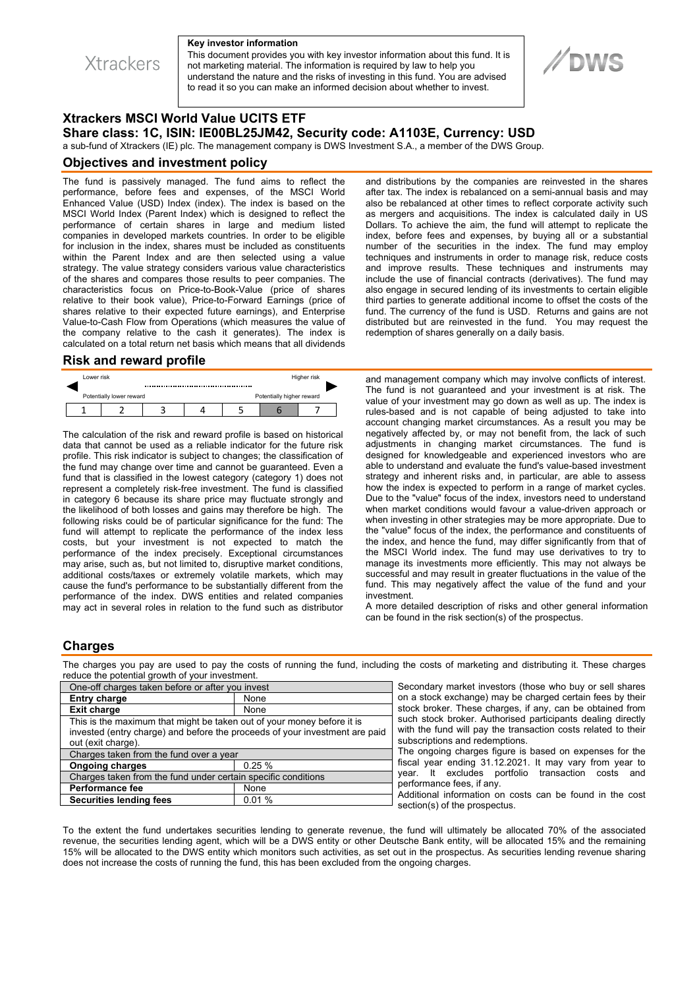**Xtrackers** 

#### **Key investor information**

This document provides you with key investor information about this fund. It is not marketing material. The information is required by law to help you understand the nature and the risks of investing in this fund. You are advised to read it so you can make an informed decision about whether to invest.

# **DWS**

## **Xtrackers MSCI World Value UCITS ETF Share class: 1C, ISIN: IE00BL25JM42, Security code: A1103E, Currency: USD**

a sub-fund of Xtrackers (IE) plc. The management company is DWS Investment S.A., a member of the DWS Group.

#### **Objectives and investment policy**

The fund is passively managed. The fund aims to reflect the performance, before fees and expenses, of the MSCI World Enhanced Value (USD) Index (index). The index is based on the MSCI World Index (Parent Index) which is designed to reflect the performance of certain shares in large and medium listed companies in developed markets countries. In order to be eligible for inclusion in the index, shares must be included as constituents within the Parent Index and are then selected using a value strategy. The value strategy considers various value characteristics of the shares and compares those results to peer companies. The characteristics focus on Price-to-Book-Value (price of shares relative to their book value), Price-to-Forward Earnings (price of shares relative to their expected future earnings), and Enterprise Value-to-Cash Flow from Operations (which measures the value of the company relative to the cash it generates). The index is calculated on a total return net basis which means that all dividends

#### **Risk and reward profile**

| Lower risk               |  |  |  |                           | Higher risk |  |  |
|--------------------------|--|--|--|---------------------------|-------------|--|--|
| Potentially lower reward |  |  |  | Potentially higher reward |             |  |  |
|                          |  |  |  |                           |             |  |  |

The calculation of the risk and reward profile is based on historical data that cannot be used as a reliable indicator for the future risk profile. This risk indicator is subject to changes; the classification of the fund may change over time and cannot be guaranteed. Even a fund that is classified in the lowest category (category 1) does not represent a completely risk-free investment. The fund is classified in category 6 because its share price may fluctuate strongly and the likelihood of both losses and gains may therefore be high. The following risks could be of particular significance for the fund: The fund will attempt to replicate the performance of the index less costs, but your investment is not expected to match the performance of the index precisely. Exceptional circumstances may arise, such as, but not limited to, disruptive market conditions, additional costs/taxes or extremely volatile markets, which may cause the fund's performance to be substantially different from the performance of the index. DWS entities and related companies may act in several roles in relation to the fund such as distributor

and distributions by the companies are reinvested in the shares after tax. The index is rebalanced on a semi-annual basis and may also be rebalanced at other times to reflect corporate activity such as mergers and acquisitions. The index is calculated daily in US Dollars. To achieve the aim, the fund will attempt to replicate the index, before fees and expenses, by buying all or a substantial number of the securities in the index. The fund may employ techniques and instruments in order to manage risk, reduce costs and improve results. These techniques and instruments may include the use of financial contracts (derivatives). The fund may also engage in secured lending of its investments to certain eligible third parties to generate additional income to offset the costs of the fund. The currency of the fund is USD. Returns and gains are not distributed but are reinvested in the fund. You may request the redemption of shares generally on a daily basis.

and management company which may involve conflicts of interest. The fund is not guaranteed and your investment is at risk. The value of your investment may go down as well as up. The index is rules-based and is not capable of being adjusted to take into account changing market circumstances. As a result you may be negatively affected by, or may not benefit from, the lack of such adjustments in changing market circumstances. The fund is designed for knowledgeable and experienced investors who are able to understand and evaluate the fund's value-based investment strategy and inherent risks and, in particular, are able to assess how the index is expected to perform in a range of market cycles. Due to the "value" focus of the index, investors need to understand when market conditions would favour a value-driven approach or when investing in other strategies may be more appropriate. Due to the "value" focus of the index, the performance and constituents of the index, and hence the fund, may differ significantly from that of the MSCI World index. The fund may use derivatives to try to manage its investments more efficiently. This may not always be successful and may result in greater fluctuations in the value of the fund. This may negatively affect the value of the fund and your investment.

A more detailed description of risks and other general information can be found in the risk section(s) of the prospectus.

### **Charges**

The charges you pay are used to pay the costs of running the fund, including the costs of marketing and distributing it. These charges reduce the potential growth of your investment.

| One-off charges taken before or after you invest                            |       |  |  |  |  |
|-----------------------------------------------------------------------------|-------|--|--|--|--|
| <b>Entry charge</b>                                                         | None  |  |  |  |  |
| <b>Exit charge</b>                                                          | None  |  |  |  |  |
| This is the maximum that might be taken out of your money before it is      |       |  |  |  |  |
| invested (entry charge) and before the proceeds of your investment are paid |       |  |  |  |  |
| out (exit charge).                                                          |       |  |  |  |  |
| Charges taken from the fund over a year                                     |       |  |  |  |  |
| <b>Ongoing charges</b>                                                      | 0.25% |  |  |  |  |
| Charges taken from the fund under certain specific conditions               |       |  |  |  |  |
| <b>Performance fee</b>                                                      | None  |  |  |  |  |
| <b>Securities lending fees</b>                                              | 0.01% |  |  |  |  |

Secondary market investors (those who buy or sell shares on a stock exchange) may be charged certain fees by their stock broker. These charges, if any, can be obtained from such stock broker. Authorised participants dealing directly with the fund will pay the transaction costs related to their subscriptions and redemptions.

The ongoing charges figure is based on expenses for the fiscal year ending 31.12.2021. It may vary from year to year. It excludes portfolio transaction costs and performance fees, if any.

Additional information on costs can be found in the cost section(s) of the prospectus.

To the extent the fund undertakes securities lending to generate revenue, the fund will ultimately be allocated 70% of the associated revenue, the securities lending agent, which will be a DWS entity or other Deutsche Bank entity, will be allocated 15% and the remaining 15% will be allocated to the DWS entity which monitors such activities, as set out in the prospectus. As securities lending revenue sharing does not increase the costs of running the fund, this has been excluded from the ongoing charges.